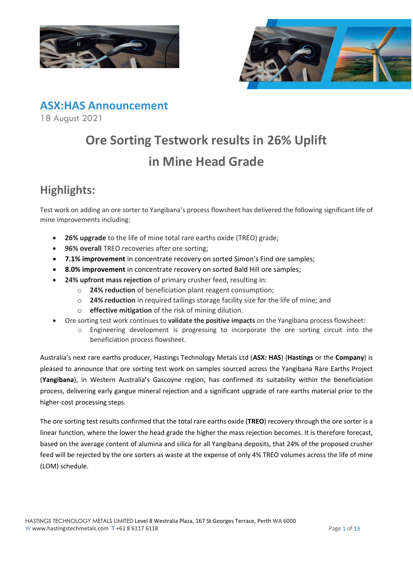



**ASX:HAS Announcement**

18 August 2021

# **Ore Sorting Testwork results in 26% Uplift in Mine Head Grade**

# **Highlights:**

Test work on adding an ore sorter to Yangibana's process flowsheet has delivered the following significant life of mine improvements including:

- **26% upgrade** to the life of mine total rare earths oxide (TREO) grade;
- **96% overall TREO recoveries after ore sorting;**
- **7.1% improvement** in concentrate recovery on sorted Simon's Find ore samples;
- **8.0% improvement** in concentrate recovery on sorted Bald Hill ore samples;
- **24% upfront mass rejection** of primary crusher feed, resulting in:
	- o **24% reduction** of beneficiation plant reagent consumption;
	- o **24% reduction** in required tailings storage facility size for the life of mine; and
	- o **effective mitigation** of the risk of mining dilution.
- Ore sorting test work continues to **validate the positive impacts** on the Yangibana process flowsheet:
	- o Engineering development is progressing to incorporate the ore sorting circuit into the beneficiation process flowsheet.

Australia's next rare earths producer, Hastings Technology Metals Ltd (**ASX: HAS**) (**Hastings** or the **Company**) is pleased to announce that ore sorting test work on samples sourced across the Yangibana Rare Earths Project (**Yangibana**), in Western Australia's Gascoyne region, has confirmed its suitability within the beneficiation process, delivering early gangue mineral rejection and a significant upgrade of rare earths material prior to the higher-cost processing steps.

The ore sorting test results confirmed that the total rare earths oxide (**TREO**) recovery through the ore sorter is a linear function, where the lower the head grade the higher the mass rejection becomes. It is therefore forecast, based on the average content of alumina and silica for all Yangibana deposits, that 24% of the proposed crusher feed will be rejected by the ore sorters as waste at the expense of only 4% TREO volumes across the life of mine<br>(LOM) schedule.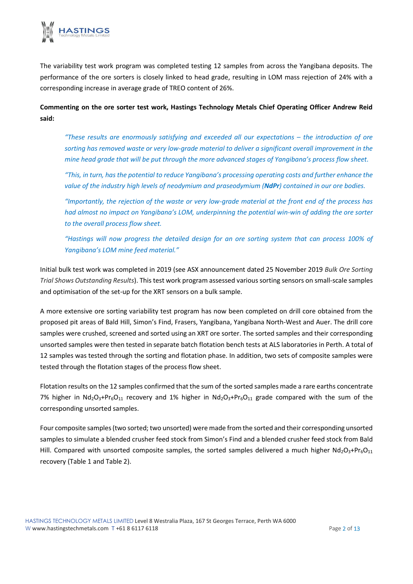

The variability test work program was completed testing 12 samples from across the Yangibana deposits. The performance of the ore sorters is closely linked to head grade, resulting in LOM mass rejection of 24% with a corresponding increase in average grade of TREO content of 26%.

**Commenting on the ore sorter test work, Hastings Technology Metals Chief Operating Officer Andrew Reid said:**

*"These results are enormously satisfying and exceeded all our expectations – the introduction of ore sorting has removed waste or very low-grade material to deliver a significant overall improvement in the mine head grade that will be put through the more advanced stages of Yangibana's process flow sheet.*

*"This, in turn, has the potential to reduce Yangibana's processing operating costs and further enhance the value of the industry high levels of neodymium and praseodymium (NdPr) contained in our ore bodies.*

*"Importantly, the rejection of the waste or very low-grade material at the front end of the process has had almost no impact on Yangibana's LOM, underpinning the potential win-win of adding the ore sorter to the overall process flow sheet.*

*"Hastings will now progress the detailed design for an ore sorting system that can process 100% of Yangibana's LOM mine feed material."*

Initial bulk test work was completed in 2019 (see ASX announcement dated 25 November 2019 *[Bulk Ore Sorting](https://cdn-api.markitdigital.com/apiman-gateway/ASX/asx-research/1.0/file/2924-02177033-6A956411?access_token=83ff96335c2d45a094df02a206a39ff4)  [Trial Shows Outstanding Results](https://cdn-api.markitdigital.com/apiman-gateway/ASX/asx-research/1.0/file/2924-02177033-6A956411?access_token=83ff96335c2d45a094df02a206a39ff4)*). This test work program assessed various sorting sensors on small-scale samples and optimisation of the set-up for the XRT sensors on a bulk sample.

A more extensive ore sorting variability test program has now been completed on drill core obtained from the proposed pit areas of Bald Hill, Simon's Find, Frasers, Yangibana, Yangibana North-West and Auer. The drill core samples were crushed, screened and sorted using an XRT ore sorter. The sorted samples and their corresponding unsorted samples were then tested in separate batch flotation bench tests at ALS laboratories in Perth. A total of 12 samples was tested through the sorting and flotation phase. In addition, two sets of composite samples were tested through the flotation stages of the process flow sheet.

Flotation results on the 12 samples confirmed that the sum of the sorted samples made a rare earths concentrate 7% higher in  $Nd_2O_3+Pr_6O_{11}$  recovery and 1% higher in  $Nd_2O_3+Pr_6O_{11}$  grade compared with the sum of the corresponding unsorted samples.

Four composite samples (two sorted; two unsorted) were made from the sorted and their corresponding unsorted samples to simulate a blended crusher feed stock from Simon's Find and a blended crusher feed stock from Bald Hill. Compared with unsorted composite samples, the sorted samples delivered a much higher  $Nd_2O_3+Pr_6O_{11}$ recovery (Table 1 and Table 2).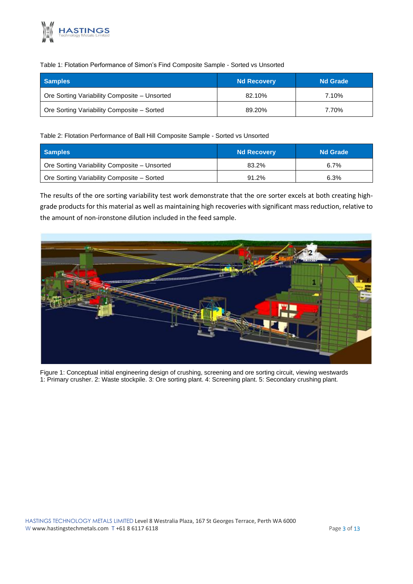

#### Table 1: Flotation Performance of Simon's Find Composite Sample - Sorted vs Unsorted

| <b>Samples</b>                               | <b>Nd Recovery</b> | <b>Nd Grade</b> |
|----------------------------------------------|--------------------|-----------------|
| Ore Sorting Variability Composite - Unsorted | 82.10%             | 7.10%           |
| Ore Sorting Variability Composite – Sorted   | 89.20%             | 7.70%           |

#### Table 2: Flotation Performance of Ball Hill Composite Sample - Sorted vs Unsorted

| <b>Samples</b>                               | <b>Nd Recovery</b> | <b>Nd Grade</b> |
|----------------------------------------------|--------------------|-----------------|
| Ore Sorting Variability Composite - Unsorted | 83.2%              | 6.7%            |
| Ore Sorting Variability Composite - Sorted   | 91.2%              | 6.3%            |

The results of the ore sorting variability test work demonstrate that the ore sorter excels at both creating highgrade products for this material as well as maintaining high recoveries with significant mass reduction, relative to the amount of non-ironstone dilution included in the feed sample.



Figure 1: Conceptual initial engineering design of crushing, screening and ore sorting circuit, viewing westwards 1: Primary crusher. 2: Waste stockpile. 3: Ore sorting plant. 4: Screening plant. 5: Secondary crushing plant.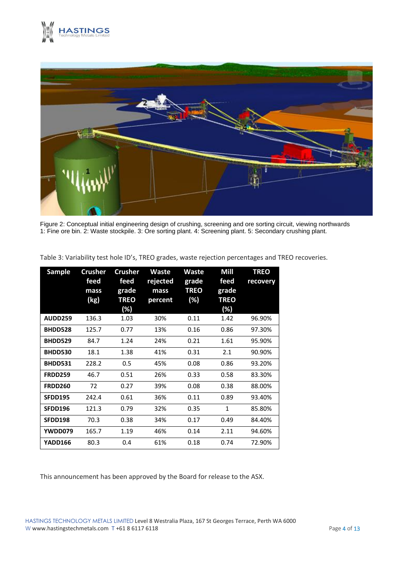



Figure 2: Conceptual initial engineering design of crushing, screening and ore sorting circuit, viewing northwards 1: Fine ore bin. 2: Waste stockpile. 3: Ore sorting plant. 4: Screening plant. 5: Secondary crushing plant.

| Sample         | <b>Crusher</b><br>feed<br>mass<br>(kg) | <b>Crusher</b><br>feed<br>grade<br><b>TREO</b><br>(%) | <b>Waste</b><br>rejected<br>mass<br>percent | <b>Waste</b><br>grade<br><b>TREO</b><br>(%) | Mill<br>feed<br>grade<br><b>TREO</b><br>(%) | <b>TREO</b><br>recovery |
|----------------|----------------------------------------|-------------------------------------------------------|---------------------------------------------|---------------------------------------------|---------------------------------------------|-------------------------|
| <b>AUDD259</b> | 136.3                                  | 1.03                                                  | 30%                                         | 0.11                                        | 1.42                                        | 96.90%                  |
| BHDD528        | 125.7                                  | 0.77                                                  | 13%                                         | 0.16                                        | 0.86                                        | 97.30%                  |
| BHDD529        | 84.7                                   | 1.24                                                  | 24%                                         | 0.21                                        | 1.61                                        | 95.90%                  |
| BHDD530        | 18.1                                   | 1.38                                                  | 41%                                         | 0.31                                        | 2.1                                         | 90.90%                  |
| BHDD531        | 228.2                                  | 0.5                                                   | 45%                                         | 0.08                                        | 0.86                                        | 93.20%                  |
| <b>FRDD259</b> | 46.7                                   | 0.51                                                  | 26%                                         | 0.33                                        | 0.58                                        | 83.30%                  |
| <b>FRDD260</b> | 72                                     | 0.27                                                  | 39%                                         | 0.08                                        | 0.38                                        | 88.00%                  |
| <b>SFDD195</b> | 242.4                                  | 0.61                                                  | 36%                                         | 0.11                                        | 0.89                                        | 93.40%                  |
| SFDD196        | 121.3                                  | 0.79                                                  | 32%                                         | 0.35                                        | $\mathbf{1}$                                | 85.80%                  |
| SFDD198        | 70.3                                   | 0.38                                                  | 34%                                         | 0.17                                        | 0.49                                        | 84.40%                  |
| YWDD079        | 165.7                                  | 1.19                                                  | 46%                                         | 0.14                                        | 2.11                                        | 94.60%                  |
| YADD166        | 80.3                                   | 0.4                                                   | 61%                                         | 0.18                                        | 0.74                                        | 72.90%                  |

Table 3: Variability test hole ID's, TREO grades, waste rejection percentages and TREO recoveries.

This announcement has been approved by the Board for release to the ASX.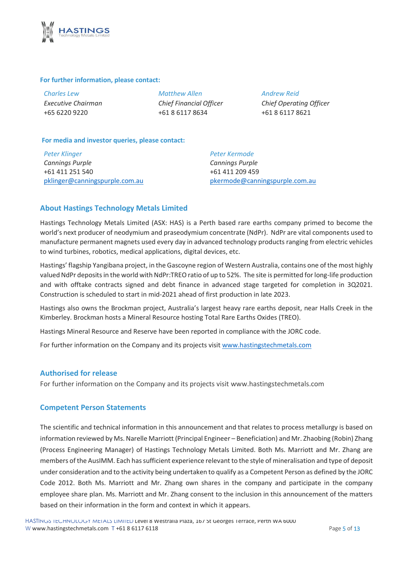

#### **For further information, please contact:**

*Charles Lew Executive Chairman* +65 6220 9220

*Matthew Allen Chief Financial Officer* +61 8 6117 8634

*Andrew Reid Chief Operating Officer* +61 8 6117 8621

#### **For media and investor queries, please contact:**

*Peter Klinger Cannings Purple* +61 411 251 540 [pklinger@canningspurple.com.au](mailto:pklinger@canningspurple.com.au) *Peter Kermode Cannings Purple* +61 411 209 459 [pkermode@canningspurple.com.au](mailto:pkermode@canningspurple.com.au)

#### **About Hastings Technology Metals Limited**

Hastings Technology Metals Limited (ASX: HAS) is a Perth based rare earths company primed to become the world's next producer of neodymium and praseodymium concentrate (NdPr). NdPr are vital components used to manufacture permanent magnets used every day in advanced technology products ranging from electric vehicles to wind turbines, robotics, medical applications, digital devices, etc.

Hastings' flagship Yangibana project, in the Gascoyne region of Western Australia, contains one of the most highly valued NdPr deposits in the world with NdPr:TREO ratio of up to 52%. The site is permitted for long-life production and with offtake contracts signed and debt finance in advanced stage targeted for completion in 3Q2021. Construction is scheduled to start in mid-2021 ahead of first production in late 2023.

Hastings also owns the Brockman project, Australia's largest heavy rare earths deposit, near Halls Creek in the Kimberley. Brockman hosts a Mineral Resource hosting Total Rare Earths Oxides (TREO).

Hastings Mineral Resource and Reserve have been reported in compliance with the JORC code.

For further information on the Company and its projects visit [www.hastingstechmetals.com](http://www.hastingstechmetals.com/)

#### **Authorised for release**

For further information on the Company and its projects visit [www.hastingstechmetals.com](http://www.hastingstechmetals.com/)

#### **Competent Person Statements**

The scientific and technical information in this announcement and that relates to process metallurgy is based on information reviewed by Ms. Narelle Marriott (Principal Engineer – Beneficiation) and Mr. Zhaobing (Robin) Zhang (Process Engineering Manager) of Hastings Technology Metals Limited. Both Ms. Marriott and Mr. Zhang are members of the AusIMM. Each has sufficient experience relevant to the style of mineralisation and type of deposit under consideration and to the activity being undertaken to qualify as a Competent Person as defined by the JORC Code 2012. Both Ms. Marriott and Mr. Zhang own shares in the company and participate in the company employee share plan. Ms. Marriott and Mr. Zhang consent to the inclusion in this announcement of the matters members of the AuslMM. Each has sufficient experience relevant to the under consideration and to the activity being undertaken to qualify as a Code 2012. Both Ms. Marriott and Mr. Zhang own shares in the comployee share pl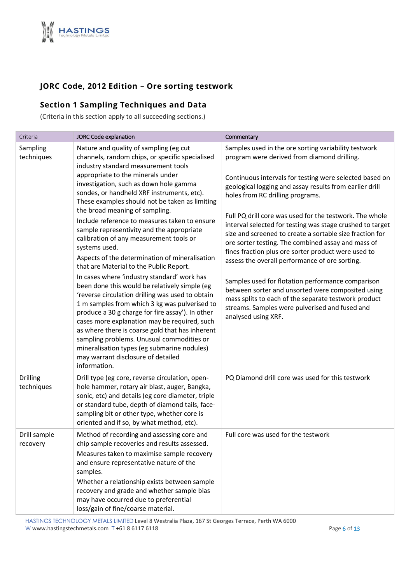

## **JORC Code, 2012 Edition – Ore sorting testwork**

# **Section 1 Sampling Techniques and Data**

(Criteria in this section apply to all succeeding sections.)

| Criteria                      | <b>JORC Code explanation</b>                                                                                                                                                                                                                                                                                                                                                                                                                                                                               | Commentary                                                                                                                                                                                                                                                                                                                                      |
|-------------------------------|------------------------------------------------------------------------------------------------------------------------------------------------------------------------------------------------------------------------------------------------------------------------------------------------------------------------------------------------------------------------------------------------------------------------------------------------------------------------------------------------------------|-------------------------------------------------------------------------------------------------------------------------------------------------------------------------------------------------------------------------------------------------------------------------------------------------------------------------------------------------|
| Sampling<br>techniques        | Nature and quality of sampling (eg cut<br>channels, random chips, or specific specialised<br>industry standard measurement tools                                                                                                                                                                                                                                                                                                                                                                           | Samples used in the ore sorting variability testwork<br>program were derived from diamond drilling.                                                                                                                                                                                                                                             |
|                               | appropriate to the minerals under<br>investigation, such as down hole gamma<br>sondes, or handheld XRF instruments, etc).<br>These examples should not be taken as limiting                                                                                                                                                                                                                                                                                                                                | Continuous intervals for testing were selected based on<br>geological logging and assay results from earlier drill<br>holes from RC drilling programs.                                                                                                                                                                                          |
|                               | the broad meaning of sampling.<br>Include reference to measures taken to ensure<br>sample representivity and the appropriate<br>calibration of any measurement tools or<br>systems used.<br>Aspects of the determination of mineralisation<br>that are Material to the Public Report.                                                                                                                                                                                                                      | Full PQ drill core was used for the testwork. The whole<br>interval selected for testing was stage crushed to target<br>size and screened to create a sortable size fraction for<br>ore sorter testing. The combined assay and mass of<br>fines fraction plus ore sorter product were used to<br>assess the overall performance of ore sorting. |
|                               | In cases where 'industry standard' work has<br>been done this would be relatively simple (eg<br>'reverse circulation drilling was used to obtain<br>1 m samples from which 3 kg was pulverised to<br>produce a 30 g charge for fire assay'). In other<br>cases more explanation may be required, such<br>as where there is coarse gold that has inherent<br>sampling problems. Unusual commodities or<br>mineralisation types (eg submarine nodules)<br>may warrant disclosure of detailed<br>information. | Samples used for flotation performance comparison<br>between sorter and unsorted were composited using<br>mass splits to each of the separate testwork product<br>streams. Samples were pulverised and fused and<br>analysed using XRF.                                                                                                         |
| <b>Drilling</b><br>techniques | Drill type (eg core, reverse circulation, open-<br>hole hammer, rotary air blast, auger, Bangka,<br>sonic, etc) and details (eg core diameter, triple<br>or standard tube, depth of diamond tails, face-<br>sampling bit or other type, whether core is<br>oriented and if so, by what method, etc).                                                                                                                                                                                                       | PQ Diamond drill core was used for this testwork                                                                                                                                                                                                                                                                                                |
| Drill sample<br>recovery      | Method of recording and assessing core and<br>chip sample recoveries and results assessed.<br>Measures taken to maximise sample recovery<br>and ensure representative nature of the<br>samples.<br>Whether a relationship exists between sample<br>recovery and grade and whether sample bias<br>may have occurred due to preferential<br>loss/gain of fine/coarse material.                                                                                                                               | Full core was used for the testwork                                                                                                                                                                                                                                                                                                             |

HASTINGS TECHNOLOGY METALS LIMITED Level 8 Westralia Plaza, 167 St Georges Terrace, Perth WA 6000 W www.hastingstechmetals.com  $T + 61861176118$  example 18 and 20 and 20 and 20 and 20 and 20 and 20 and 20 and 20 and 20 and 20 and 20 and 20 and 20 and 20 and 20 and 20 and 20 and 20 and 20 and 20 and 20 and 20 and 20 and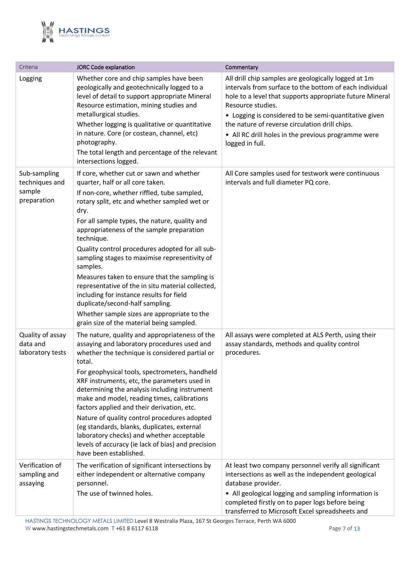

| Criteria                                                | JORC Code explanation                                                                                                                                                                                                                                                                                                                                                                                                                                                                                                                                                                                                                                                                            | Commentary                                                                                                                                                                                                                                                                                                                                                                            |
|---------------------------------------------------------|--------------------------------------------------------------------------------------------------------------------------------------------------------------------------------------------------------------------------------------------------------------------------------------------------------------------------------------------------------------------------------------------------------------------------------------------------------------------------------------------------------------------------------------------------------------------------------------------------------------------------------------------------------------------------------------------------|---------------------------------------------------------------------------------------------------------------------------------------------------------------------------------------------------------------------------------------------------------------------------------------------------------------------------------------------------------------------------------------|
| Logging                                                 | Whether core and chip samples have been<br>geologically and geotechnically logged to a<br>level of detail to support appropriate Mineral<br>Resource estimation, mining studies and<br>metallurgical studies.<br>Whether logging is qualitative or quantitative<br>in nature. Core (or costean, channel, etc)<br>photography.<br>The total length and percentage of the relevant<br>intersections logged.                                                                                                                                                                                                                                                                                        | All drill chip samples are geologically logged at 1m<br>intervals from surface to the bottom of each individual<br>hole to a level that supports appropriate future Mineral<br>Resource studies.<br>• Logging is considered to be semi-quantitative given<br>the nature of reverse circulation drill chips.<br>• All RC drill holes in the previous programme were<br>logged in full. |
| Sub-sampling<br>techniques and<br>sample<br>preparation | If core, whether cut or sawn and whether<br>quarter, half or all core taken.<br>If non-core, whether riffled, tube sampled,<br>rotary split, etc and whether sampled wet or<br>dry.<br>For all sample types, the nature, quality and<br>appropriateness of the sample preparation<br>technique.<br>Quality control procedures adopted for all sub-<br>sampling stages to maximise representivity of<br>samples.<br>Measures taken to ensure that the sampling is<br>representative of the in situ material collected,<br>including for instance results for field<br>duplicate/second-half sampling.<br>Whether sample sizes are appropriate to the<br>grain size of the material being sampled. | All Core samples used for testwork were continuous<br>intervals and full diameter PQ core.                                                                                                                                                                                                                                                                                            |
| Quality of assay<br>data and<br>laboratory tests        | The nature, quality and appropriateness of the<br>assaying and laboratory procedures used and<br>whether the technique is considered partial or<br>total.<br>For geophysical tools, spectrometers, handheld<br>XRF instruments, etc, the parameters used in<br>determining the analysis including instrument<br>make and model, reading times, calibrations<br>factors applied and their derivation, etc.<br>Nature of quality control procedures adopted<br>(eg standards, blanks, duplicates, external<br>laboratory checks) and whether acceptable<br>levels of accuracy (ie lack of bias) and precision<br>have been established.                                                            | All assays were completed at ALS Perth, using their<br>assay standards, methods and quality control<br>procedures.                                                                                                                                                                                                                                                                    |
| Verification of<br>sampling and<br>assaying             | The verification of significant intersections by<br>either independent or alternative company<br>personnel.<br>The use of twinned holes.                                                                                                                                                                                                                                                                                                                                                                                                                                                                                                                                                         | At least two company personnel verify all significant<br>intersections as well as the independent geological<br>database provider.<br>• All geological logging and sampling information is<br>completed firstly on to paper logs before being<br>transferred to Microsoft Excel spreadsheets and                                                                                      |

HASTINGS TECHNOLOGY METALS LIMITED Level 8 Westralia Plaza, 167 St Georges Terrace, Perth WA 6000 W www.hastingstechmetals.com  $T + 61 8 6117 6118$  Page 7 of 13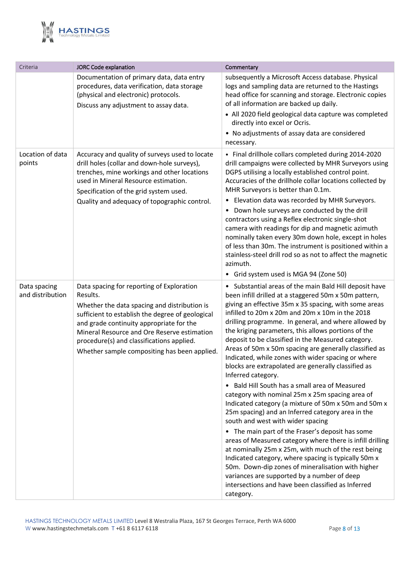

| Criteria                         | JORC Code explanation                                                                                                                                                                                                                                                                                                                             | Commentary                                                                                                                                                                                                                                                                                                                                                                                                                                                                                                                                                                                                                                                                                                                                                                                                                                                                                                                                                                                                                                                                                                                                                                                                                                                  |
|----------------------------------|---------------------------------------------------------------------------------------------------------------------------------------------------------------------------------------------------------------------------------------------------------------------------------------------------------------------------------------------------|-------------------------------------------------------------------------------------------------------------------------------------------------------------------------------------------------------------------------------------------------------------------------------------------------------------------------------------------------------------------------------------------------------------------------------------------------------------------------------------------------------------------------------------------------------------------------------------------------------------------------------------------------------------------------------------------------------------------------------------------------------------------------------------------------------------------------------------------------------------------------------------------------------------------------------------------------------------------------------------------------------------------------------------------------------------------------------------------------------------------------------------------------------------------------------------------------------------------------------------------------------------|
|                                  | Documentation of primary data, data entry<br>procedures, data verification, data storage<br>(physical and electronic) protocols.<br>Discuss any adjustment to assay data.                                                                                                                                                                         | subsequently a Microsoft Access database. Physical<br>logs and sampling data are returned to the Hastings<br>head office for scanning and storage. Electronic copies<br>of all information are backed up daily.<br>• All 2020 field geological data capture was completed<br>directly into excel or Ocris.<br>• No adjustments of assay data are considered<br>necessary.                                                                                                                                                                                                                                                                                                                                                                                                                                                                                                                                                                                                                                                                                                                                                                                                                                                                                   |
| Location of data<br>points       | Accuracy and quality of surveys used to locate<br>drill holes (collar and down-hole surveys),<br>trenches, mine workings and other locations<br>used in Mineral Resource estimation.<br>Specification of the grid system used.<br>Quality and adequacy of topographic control.                                                                    | • Final drillhole collars completed during 2014-2020<br>drill campaigns were collected by MHR Surveyors using<br>DGPS utilising a locally established control point.<br>Accuracies of the drillhole collar locations collected by<br>MHR Surveyors is better than 0.1m.<br>• Elevation data was recorded by MHR Surveyors.<br>Down hole surveys are conducted by the drill<br>$\bullet$<br>contractors using a Reflex electronic single-shot<br>camera with readings for dip and magnetic azimuth<br>nominally taken every 30m down hole, except in holes<br>of less than 30m. The instrument is positioned within a<br>stainless-steel drill rod so as not to affect the magnetic<br>azimuth.<br>• Grid system used is MGA 94 (Zone 50)                                                                                                                                                                                                                                                                                                                                                                                                                                                                                                                    |
| Data spacing<br>and distribution | Data spacing for reporting of Exploration<br>Results.<br>Whether the data spacing and distribution is<br>sufficient to establish the degree of geological<br>and grade continuity appropriate for the<br>Mineral Resource and Ore Reserve estimation<br>procedure(s) and classifications applied.<br>Whether sample compositing has been applied. | • Substantial areas of the main Bald Hill deposit have<br>been infill drilled at a staggered 50m x 50m pattern,<br>giving an effective 35m x 35 spacing, with some areas<br>infilled to 20m x 20m and 20m x 10m in the 2018<br>drilling programme. In general, and where allowed by<br>the kriging parameters, this allows portions of the<br>deposit to be classified in the Measured category.<br>Areas of 50m x 50m spacing are generally classified as<br>Indicated, while zones with wider spacing or where<br>blocks are extrapolated are generally classified as<br>Inferred category.<br>• Bald Hill South has a small area of Measured<br>category with nominal 25m x 25m spacing area of<br>Indicated category (a mixture of 50m x 50m and 50m x<br>25m spacing) and an Inferred category area in the<br>south and west with wider spacing<br>• The main part of the Fraser's deposit has some<br>areas of Measured category where there is infill drilling<br>at nominally 25m x 25m, with much of the rest being<br>Indicated category, where spacing is typically 50m x<br>50m. Down-dip zones of mineralisation with higher<br>variances are supported by a number of deep<br>intersections and have been classified as Inferred<br>category. |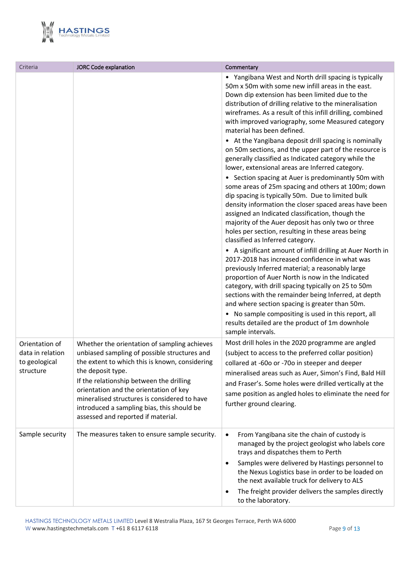

| Criteria                                       | JORC Code explanation                                                                                                                                                                                                                                                                                                                         | Commentary                                                                                                                                                                                                                                                                                                                                                                                                                                                                                      |
|------------------------------------------------|-----------------------------------------------------------------------------------------------------------------------------------------------------------------------------------------------------------------------------------------------------------------------------------------------------------------------------------------------|-------------------------------------------------------------------------------------------------------------------------------------------------------------------------------------------------------------------------------------------------------------------------------------------------------------------------------------------------------------------------------------------------------------------------------------------------------------------------------------------------|
|                                                |                                                                                                                                                                                                                                                                                                                                               | • Yangibana West and North drill spacing is typically<br>50m x 50m with some new infill areas in the east.<br>Down dip extension has been limited due to the<br>distribution of drilling relative to the mineralisation<br>wireframes. As a result of this infill drilling, combined<br>with improved variography, some Measured category<br>material has been defined.<br>• At the Yangibana deposit drill spacing is nominally<br>on 50m sections, and the upper part of the resource is      |
|                                                |                                                                                                                                                                                                                                                                                                                                               | generally classified as Indicated category while the<br>lower, extensional areas are Inferred category.                                                                                                                                                                                                                                                                                                                                                                                         |
|                                                |                                                                                                                                                                                                                                                                                                                                               | • Section spacing at Auer is predominantly 50m with<br>some areas of 25m spacing and others at 100m; down<br>dip spacing is typically 50m. Due to limited bulk<br>density information the closer spaced areas have been<br>assigned an Indicated classification, though the<br>majority of the Auer deposit has only two or three<br>holes per section, resulting in these areas being<br>classified as Inferred category.                                                                      |
|                                                |                                                                                                                                                                                                                                                                                                                                               | • A significant amount of infill drilling at Auer North in<br>2017-2018 has increased confidence in what was<br>previously Inferred material; a reasonably large<br>proportion of Auer North is now in the Indicated<br>category, with drill spacing typically on 25 to 50m<br>sections with the remainder being Inferred, at depth<br>and where section spacing is greater than 50m.<br>• No sample compositing is used in this report, all<br>results detailed are the product of 1m downhole |
| Orientation of                                 | Whether the orientation of sampling achieves                                                                                                                                                                                                                                                                                                  | sample intervals.<br>Most drill holes in the 2020 programme are angled                                                                                                                                                                                                                                                                                                                                                                                                                          |
| data in relation<br>to geological<br>structure | unbiased sampling of possible structures and<br>the extent to which this is known, considering<br>the deposit type.<br>If the relationship between the drilling<br>orientation and the orientation of key<br>mineralised structures is considered to have<br>introduced a sampling bias, this should be<br>assessed and reported if material. | (subject to access to the preferred collar position)<br>collared at -60o or -70o in steeper and deeper<br>mineralised areas such as Auer, Simon's Find, Bald Hill<br>and Fraser's. Some holes were drilled vertically at the<br>same position as angled holes to eliminate the need for<br>further ground clearing.                                                                                                                                                                             |
| Sample security                                | The measures taken to ensure sample security.                                                                                                                                                                                                                                                                                                 | From Yangibana site the chain of custody is<br>$\bullet$<br>managed by the project geologist who labels core<br>trays and dispatches them to Perth                                                                                                                                                                                                                                                                                                                                              |
|                                                |                                                                                                                                                                                                                                                                                                                                               | Samples were delivered by Hastings personnel to<br>$\bullet$<br>the Nexus Logistics base in order to be loaded on<br>the next available truck for delivery to ALS                                                                                                                                                                                                                                                                                                                               |
|                                                |                                                                                                                                                                                                                                                                                                                                               | The freight provider delivers the samples directly<br>$\bullet$<br>to the laboratory.                                                                                                                                                                                                                                                                                                                                                                                                           |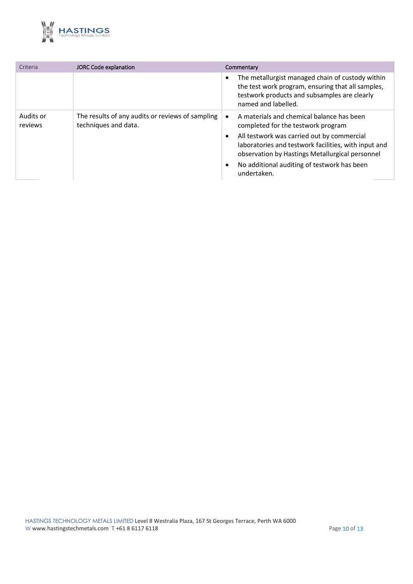

| Criteria             | <b>JORC Code explanation</b>                                             | Commentary                                                                                                                                                                   |
|----------------------|--------------------------------------------------------------------------|------------------------------------------------------------------------------------------------------------------------------------------------------------------------------|
|                      |                                                                          | The metallurgist managed chain of custody within<br>the test work program, ensuring that all samples,<br>testwork products and subsamples are clearly<br>named and labelled. |
| Audits or<br>reviews | The results of any audits or reviews of sampling<br>techniques and data. | A materials and chemical balance has been<br>completed for the testwork program                                                                                              |
|                      |                                                                          | All testwork was carried out by commercial<br>laboratories and testwork facilities, with input and<br>observation by Hastings Metallurgical personnel                        |
|                      |                                                                          | No additional auditing of testwork has been<br>undertaken.                                                                                                                   |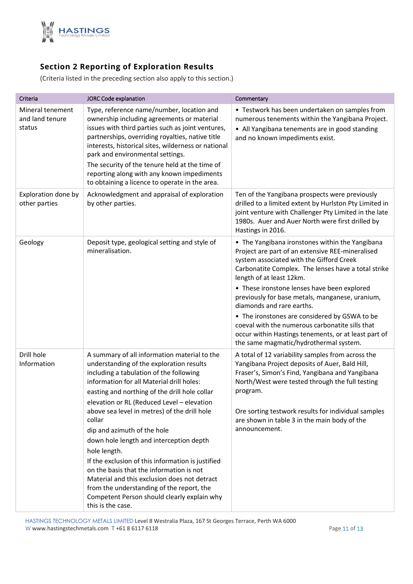

## **Section 2 Reporting of Exploration Results**

(Criteria listed in the preceding section also apply to this section.)

| Criteria                                      | <b>JORC Code explanation</b>                                                                                                                                                                                                                                                                                                                                                                                                                                                                                                                                                                                                                                                                          | Commentary                                                                                                                                                                                                                                                                                                                                                                                                                                                                                                                                                              |
|-----------------------------------------------|-------------------------------------------------------------------------------------------------------------------------------------------------------------------------------------------------------------------------------------------------------------------------------------------------------------------------------------------------------------------------------------------------------------------------------------------------------------------------------------------------------------------------------------------------------------------------------------------------------------------------------------------------------------------------------------------------------|-------------------------------------------------------------------------------------------------------------------------------------------------------------------------------------------------------------------------------------------------------------------------------------------------------------------------------------------------------------------------------------------------------------------------------------------------------------------------------------------------------------------------------------------------------------------------|
| Mineral tenement<br>and land tenure<br>status | Type, reference name/number, location and<br>ownership including agreements or material<br>issues with third parties such as joint ventures,<br>partnerships, overriding royalties, native title<br>interests, historical sites, wilderness or national<br>park and environmental settings.<br>The security of the tenure held at the time of<br>reporting along with any known impediments<br>to obtaining a licence to operate in the area.                                                                                                                                                                                                                                                         | • Testwork has been undertaken on samples from<br>numerous tenements within the Yangibana Project.<br>• All Yangibana tenements are in good standing<br>and no known impediments exist.                                                                                                                                                                                                                                                                                                                                                                                 |
| Exploration done by<br>other parties          | Acknowledgment and appraisal of exploration<br>by other parties.                                                                                                                                                                                                                                                                                                                                                                                                                                                                                                                                                                                                                                      | Ten of the Yangibana prospects were previously<br>drilled to a limited extent by Hurlston Pty Limited in<br>joint venture with Challenger Pty Limited in the late<br>1980s. Auer and Auer North were first drilled by<br>Hastings in 2016.                                                                                                                                                                                                                                                                                                                              |
| Geology                                       | Deposit type, geological setting and style of<br>mineralisation.                                                                                                                                                                                                                                                                                                                                                                                                                                                                                                                                                                                                                                      | • The Yangibana ironstones within the Yangibana<br>Project are part of an extensive REE-mineralised<br>system associated with the Gifford Creek<br>Carbonatite Complex. The lenses have a total strike<br>length of at least 12km.<br>• These ironstone lenses have been explored<br>previously for base metals, manganese, uranium,<br>diamonds and rare earths.<br>• The ironstones are considered by GSWA to be<br>coeval with the numerous carbonatite sills that<br>occur within Hastings tenements, or at least part of<br>the same magmatic/hydrothermal system. |
| Drill hole<br>Information                     | A summary of all information material to the<br>understanding of the exploration results<br>including a tabulation of the following<br>information for all Material drill holes:<br>easting and northing of the drill hole collar<br>elevation or RL (Reduced Level - elevation<br>above sea level in metres) of the drill hole<br>collar<br>dip and azimuth of the hole<br>down hole length and interception depth<br>hole length.<br>If the exclusion of this information is justified<br>on the basis that the information is not<br>Material and this exclusion does not detract<br>from the understanding of the report, the<br>Competent Person should clearly explain why<br>this is the case. | A total of 12 variability samples from across the<br>Yangibana Project deposits of Auer, Bald Hill,<br>Fraser's, Simon's Find, Yangibana and Yangibana<br>North/West were tested through the full testing<br>program.<br>Ore sorting testwork results for individual samples<br>are shown in table 3 in the main body of the<br>announcement.                                                                                                                                                                                                                           |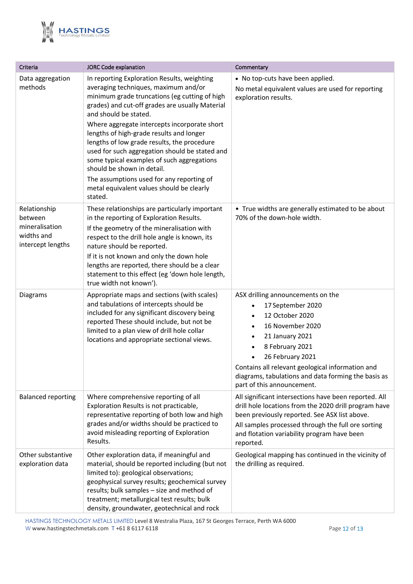

| Criteria                                                                     | <b>JORC Code explanation</b>                                                                                                                                                                                                                                                                                                                                                                                                                                                                                                                                                                   | Commentary                                                                                                                                                                                                                                                                                       |
|------------------------------------------------------------------------------|------------------------------------------------------------------------------------------------------------------------------------------------------------------------------------------------------------------------------------------------------------------------------------------------------------------------------------------------------------------------------------------------------------------------------------------------------------------------------------------------------------------------------------------------------------------------------------------------|--------------------------------------------------------------------------------------------------------------------------------------------------------------------------------------------------------------------------------------------------------------------------------------------------|
| Data aggregation<br>methods                                                  | In reporting Exploration Results, weighting<br>averaging techniques, maximum and/or<br>minimum grade truncations (eg cutting of high<br>grades) and cut-off grades are usually Material<br>and should be stated.<br>Where aggregate intercepts incorporate short<br>lengths of high-grade results and longer<br>lengths of low grade results, the procedure<br>used for such aggregation should be stated and<br>some typical examples of such aggregations<br>should be shown in detail.<br>The assumptions used for any reporting of<br>metal equivalent values should be clearly<br>stated. | • No top-cuts have been applied.<br>No metal equivalent values are used for reporting<br>exploration results.                                                                                                                                                                                    |
| Relationship<br>between<br>mineralisation<br>widths and<br>intercept lengths | These relationships are particularly important<br>in the reporting of Exploration Results.<br>If the geometry of the mineralisation with<br>respect to the drill hole angle is known, its<br>nature should be reported.<br>If it is not known and only the down hole<br>lengths are reported, there should be a clear<br>statement to this effect (eg 'down hole length,<br>true width not known').                                                                                                                                                                                            | • True widths are generally estimated to be about<br>70% of the down-hole width.                                                                                                                                                                                                                 |
| Diagrams                                                                     | Appropriate maps and sections (with scales)<br>and tabulations of intercepts should be<br>included for any significant discovery being<br>reported These should include, but not be<br>limited to a plan view of drill hole collar<br>locations and appropriate sectional views.                                                                                                                                                                                                                                                                                                               | ASX drilling announcements on the<br>17 September 2020<br>12 October 2020<br>16 November 2020<br>21 January 2021<br>8 February 2021<br>26 February 2021<br>Contains all relevant geological information and<br>diagrams, tabulations and data forming the basis as<br>part of this announcement. |
| <b>Balanced reporting</b>                                                    | Where comprehensive reporting of all<br>Exploration Results is not practicable,<br>representative reporting of both low and high<br>grades and/or widths should be practiced to<br>avoid misleading reporting of Exploration<br>Results.                                                                                                                                                                                                                                                                                                                                                       | All significant intersections have been reported. All<br>drill hole locations from the 2020 drill program have<br>been previously reported. See ASX list above.<br>All samples processed through the full ore sorting<br>and flotation variability program have been<br>reported.                |
| Other substantive<br>exploration data                                        | Other exploration data, if meaningful and<br>material, should be reported including (but not<br>limited to): geological observations;<br>geophysical survey results; geochemical survey<br>results; bulk samples - size and method of<br>treatment; metallurgical test results; bulk<br>density, groundwater, geotechnical and rock                                                                                                                                                                                                                                                            | Geological mapping has continued in the vicinity of<br>the drilling as required.                                                                                                                                                                                                                 |